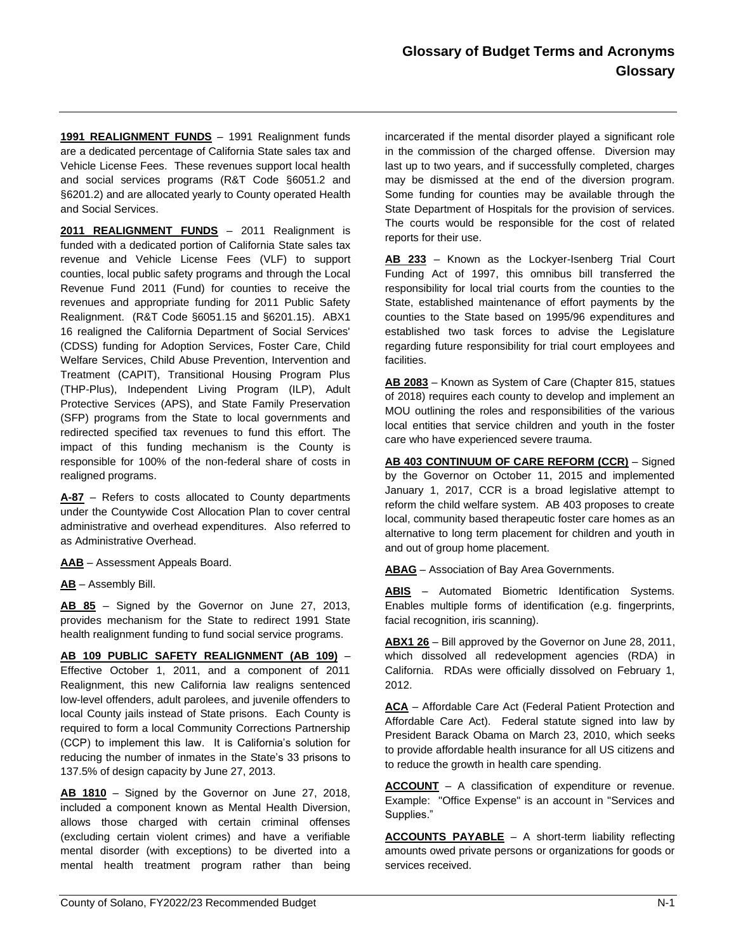**1991 REALIGNMENT FUNDS** – 1991 Realignment funds are a dedicated percentage of California State sales tax and Vehicle License Fees. These revenues support local health and social services programs (R&T Code §6051.2 and §6201.2) and are allocated yearly to County operated Health and Social Services.

**2011 REALIGNMENT FUNDS** – 2011 Realignment is funded with a dedicated portion of California State sales tax revenue and Vehicle License Fees (VLF) to support counties, local public safety programs and through the Local Revenue Fund 2011 (Fund) for counties to receive the revenues and appropriate funding for 2011 Public Safety Realignment. (R&T Code §6051.15 and §6201.15). ABX1 16 realigned the California Department of Social Services' (CDSS) funding for Adoption Services, Foster Care, Child Welfare Services, Child Abuse Prevention, Intervention and Treatment (CAPIT), Transitional Housing Program Plus (THP-Plus), Independent Living Program (ILP), Adult Protective Services (APS), and State Family Preservation (SFP) programs from the State to local governments and redirected specified tax revenues to fund this effort. The impact of this funding mechanism is the County is responsible for 100% of the non-federal share of costs in realigned programs.

**A-87** – Refers to costs allocated to County departments under the Countywide Cost Allocation Plan to cover central administrative and overhead expenditures. Also referred to as Administrative Overhead.

**AAB** – Assessment Appeals Board.

**AB** – Assembly Bill.

**AB 85** – Signed by the Governor on June 27, 2013, provides mechanism for the State to redirect 1991 State health realignment funding to fund social service programs.

**AB 109 PUBLIC SAFETY REALIGNMENT (AB 109)** – Effective October 1, 2011, and a component of 2011 Realignment, this new California law realigns sentenced low-level offenders, adult parolees, and juvenile offenders to local County jails instead of State prisons. Each County is required to form a local Community Corrections Partnership (CCP) to implement this law. It is California's solution for reducing the number of inmates in the State's 33 prisons to 137.5% of design capacity by June 27, 2013.

**AB 1810** – Signed by the Governor on June 27, 2018, included a component known as Mental Health Diversion, allows those charged with certain criminal offenses (excluding certain violent crimes) and have a verifiable mental disorder (with exceptions) to be diverted into a mental health treatment program rather than being

incarcerated if the mental disorder played a significant role in the commission of the charged offense. Diversion may last up to two years, and if successfully completed, charges may be dismissed at the end of the diversion program. Some funding for counties may be available through the State Department of Hospitals for the provision of services. The courts would be responsible for the cost of related reports for their use.

**AB 233** – Known as the Lockyer-Isenberg Trial Court Funding Act of 1997, this omnibus bill transferred the responsibility for local trial courts from the counties to the State, established maintenance of effort payments by the counties to the State based on 1995/96 expenditures and established two task forces to advise the Legislature regarding future responsibility for trial court employees and facilities.

**AB 2083** – Known as System of Care (Chapter 815, statues of 2018) requires each county to develop and implement an MOU outlining the roles and responsibilities of the various local entities that service children and youth in the foster care who have experienced severe trauma.

**AB 403 CONTINUUM OF CARE REFORM (CCR)** – Signed by the Governor on October 11, 2015 and implemented January 1, 2017, CCR is a broad legislative attempt to reform the child welfare system. AB 403 proposes to create local, community based therapeutic foster care homes as an alternative to long term placement for children and youth in and out of group home placement.

**ABAG** – Association of Bay Area Governments.

**ABIS** – Automated Biometric Identification Systems. Enables multiple forms of identification (e.g. fingerprints, facial recognition, iris scanning).

**ABX1 26** – Bill approved by the Governor on June 28, 2011, which dissolved all redevelopment agencies (RDA) in California. RDAs were officially dissolved on February 1, 2012.

**ACA** – Affordable Care Act (Federal Patient Protection and Affordable Care Act). Federal statute signed into law by President Barack Obama on March 23, 2010, which seeks to provide affordable health insurance for all US citizens and to reduce the growth in health care spending.

**ACCOUNT** – A classification of expenditure or revenue. Example: "Office Expense" is an account in "Services and Supplies."

**ACCOUNTS PAYABLE** – A short-term liability reflecting amounts owed private persons or organizations for goods or services received.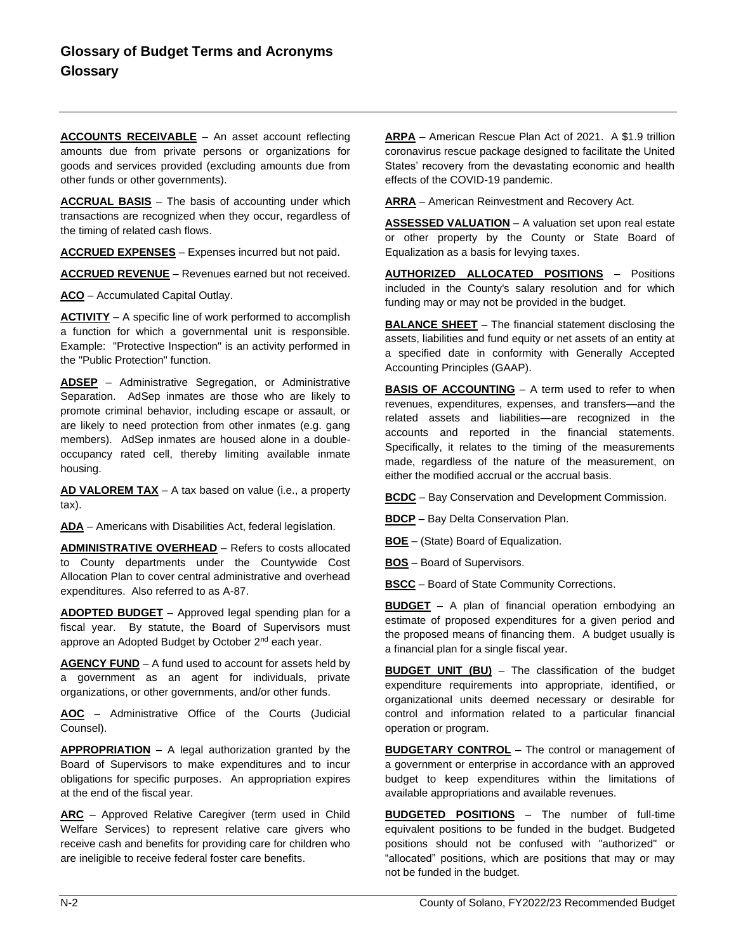**ACCOUNTS RECEIVABLE** – An asset account reflecting amounts due from private persons or organizations for goods and services provided (excluding amounts due from other funds or other governments).

**ACCRUAL BASIS** – The basis of accounting under which transactions are recognized when they occur, regardless of the timing of related cash flows.

**ACCRUED EXPENSES** – Expenses incurred but not paid.

**ACCRUED REVENUE** – Revenues earned but not received.

**ACO** – Accumulated Capital Outlay.

**ACTIVITY** – A specific line of work performed to accomplish a function for which a governmental unit is responsible. Example: "Protective Inspection" is an activity performed in the "Public Protection" function.

**ADSEP** – Administrative Segregation, or Administrative Separation. AdSep inmates are those who are likely to promote criminal behavior, including escape or assault, or are likely to need protection from other inmates (e.g. gang members). AdSep inmates are housed alone in a doubleoccupancy rated cell, thereby limiting available inmate housing.

**AD VALOREM TAX** – A tax based on value (i.e., a property tax).

**ADA** – Americans with Disabilities Act, federal legislation.

**ADMINISTRATIVE OVERHEAD** – Refers to costs allocated to County departments under the Countywide Cost Allocation Plan to cover central administrative and overhead expenditures. Also referred to as A-87.

**ADOPTED BUDGET** – Approved legal spending plan for a fiscal year. By statute, the Board of Supervisors must approve an Adopted Budget by October 2<sup>nd</sup> each year.

**AGENCY FUND** – A fund used to account for assets held by a government as an agent for individuals, private organizations, or other governments, and/or other funds.

**AOC** – Administrative Office of the Courts (Judicial Counsel).

**APPROPRIATION** – A legal authorization granted by the Board of Supervisors to make expenditures and to incur obligations for specific purposes. An appropriation expires at the end of the fiscal year.

**ARC** – Approved Relative Caregiver (term used in Child Welfare Services) to represent relative care givers who receive cash and benefits for providing care for children who are ineligible to receive federal foster care benefits.

**ARPA** – American Rescue Plan Act of 2021. A \$1.9 trillion coronavirus rescue package designed to facilitate the United States' recovery from the devastating economic and health effects of the COVID-19 pandemic.

**ARRA** – American Reinvestment and Recovery Act.

**ASSESSED VALUATION** – A valuation set upon real estate or other property by the County or State Board of Equalization as a basis for levying taxes.

**AUTHORIZED ALLOCATED POSITIONS** – Positions included in the County's salary resolution and for which funding may or may not be provided in the budget.

**BALANCE SHEET** – The financial statement disclosing the assets, liabilities and fund equity or net assets of an entity at a specified date in conformity with Generally Accepted Accounting Principles (GAAP).

**BASIS OF ACCOUNTING** - A term used to refer to when revenues, expenditures, expenses, and transfers—and the related assets and liabilities—are recognized in the accounts and reported in the financial statements. Specifically, it relates to the timing of the measurements made, regardless of the nature of the measurement, on either the modified accrual or the accrual basis.

**BCDC** – Bay Conservation and Development Commission.

**BDCP** – Bay Delta Conservation Plan.

**BOE** – (State) Board of Equalization.

**BOS** – Board of Supervisors.

**BSCC** – Board of State Community Corrections.

**BUDGET** – A plan of financial operation embodying an estimate of proposed expenditures for a given period and the proposed means of financing them. A budget usually is a financial plan for a single fiscal year.

**BUDGET UNIT (BU)** – The classification of the budget expenditure requirements into appropriate, identified, or organizational units deemed necessary or desirable for control and information related to a particular financial operation or program.

**BUDGETARY CONTROL** – The control or management of a government or enterprise in accordance with an approved budget to keep expenditures within the limitations of available appropriations and available revenues.

**BUDGETED POSITIONS** – The number of full-time equivalent positions to be funded in the budget. Budgeted positions should not be confused with "authorized" or "allocated" positions, which are positions that may or may not be funded in the budget.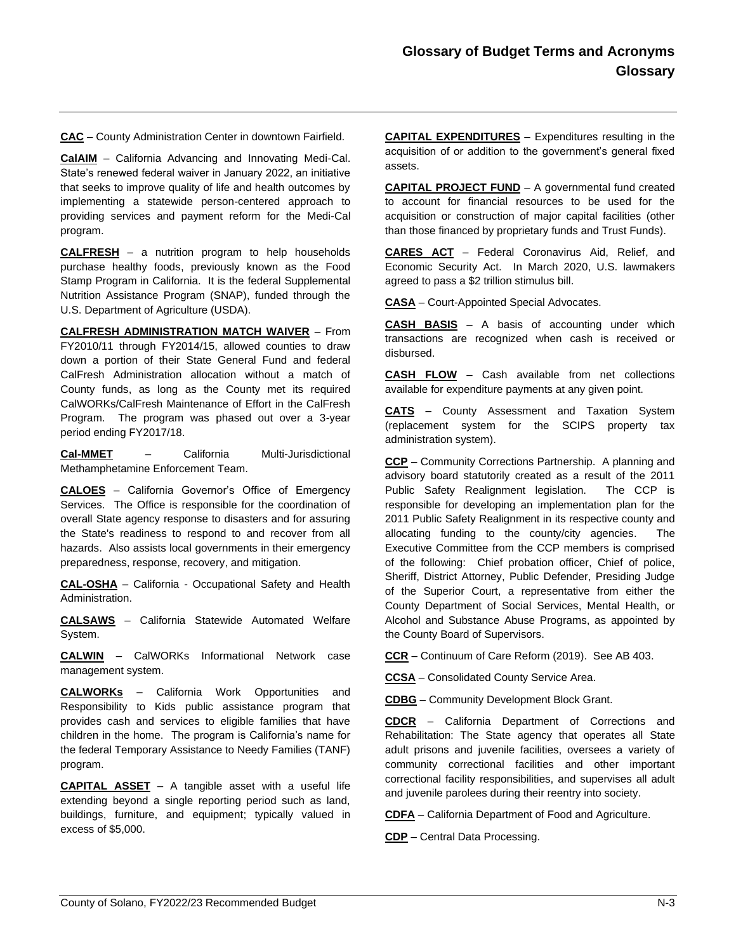**CAC** – County Administration Center in downtown Fairfield.

**CalAIM** – California Advancing and Innovating Medi-Cal. State's renewed federal waiver in January 2022, an initiative that seeks to improve quality of life and health outcomes by implementing a statewide person-centered approach to providing services and payment reform for the Medi-Cal program.

**CALFRESH** – a nutrition program to help households purchase healthy foods, previously known as the Food Stamp Program in California. It is the federal Supplemental Nutrition Assistance Program (SNAP), funded through the U.S. Department of Agriculture (USDA).

**CALFRESH ADMINISTRATION MATCH WAIVER** – From FY2010/11 through FY2014/15, allowed counties to draw down a portion of their State General Fund and federal CalFresh Administration allocation without a match of County funds, as long as the County met its required CalWORKs/CalFresh Maintenance of Effort in the CalFresh Program. The program was phased out over a 3-year period ending FY2017/18.

**Cal-MMET** – California Multi-Jurisdictional Methamphetamine Enforcement Team.

**CALOES** – California Governor's Office of Emergency Services. The Office is responsible for the coordination of overall State agency response to disasters and for assuring the State's readiness to respond to and recover from all hazards. Also assists local governments in their emergency preparedness, response, recovery, and mitigation.

**CAL-OSHA** – California - Occupational Safety and Health Administration.

**CALSAWS** – California Statewide Automated Welfare System.

**CALWIN** – CalWORKs Informational Network case management system.

**CALWORKs** – California Work Opportunities and Responsibility to Kids public assistance program that provides cash and services to eligible families that have children in the home. The program is California's name for the federal Temporary Assistance to Needy Families (TANF) program.

**CAPITAL ASSET** – A tangible asset with a useful life extending beyond a single reporting period such as land, buildings, furniture, and equipment; typically valued in excess of \$5,000.

**CAPITAL EXPENDITURES** – Expenditures resulting in the acquisition of or addition to the government's general fixed assets.

**CAPITAL PROJECT FUND** – A governmental fund created to account for financial resources to be used for the acquisition or construction of major capital facilities (other than those financed by proprietary funds and Trust Funds).

**CARES ACT** – Federal Coronavirus Aid, Relief, and Economic Security Act. In March 2020, U.S. lawmakers agreed to pass a \$2 trillion stimulus bill.

**CASA** – Court-Appointed Special Advocates.

**CASH BASIS** – A basis of accounting under which transactions are recognized when cash is received or disbursed.

**CASH FLOW** – Cash available from net collections available for expenditure payments at any given point.

**CATS** – County Assessment and Taxation System (replacement system for the SCIPS property tax administration system).

**CCP** – Community Corrections Partnership. A planning and advisory board statutorily created as a result of the 2011 Public Safety Realignment legislation. The CCP is responsible for developing an implementation plan for the 2011 Public Safety Realignment in its respective county and allocating funding to the county/city agencies. The Executive Committee from the CCP members is comprised of the following: Chief probation officer, Chief of police, Sheriff, District Attorney, Public Defender, Presiding Judge of the Superior Court, a representative from either the County Department of Social Services, Mental Health, or Alcohol and Substance Abuse Programs, as appointed by the County Board of Supervisors.

**CCR** – Continuum of Care Reform (2019). See AB 403.

**CCSA** – Consolidated County Service Area.

**CDBG** – Community Development Block Grant.

**CDCR** – California Department of Corrections and Rehabilitation: The State agency that operates all State adult prisons and juvenile facilities, oversees a variety of community correctional facilities and other important correctional facility responsibilities, and supervises all adult and juvenile parolees during their reentry into society.

**CDFA** – California Department of Food and Agriculture.

**CDP** – Central Data Processing.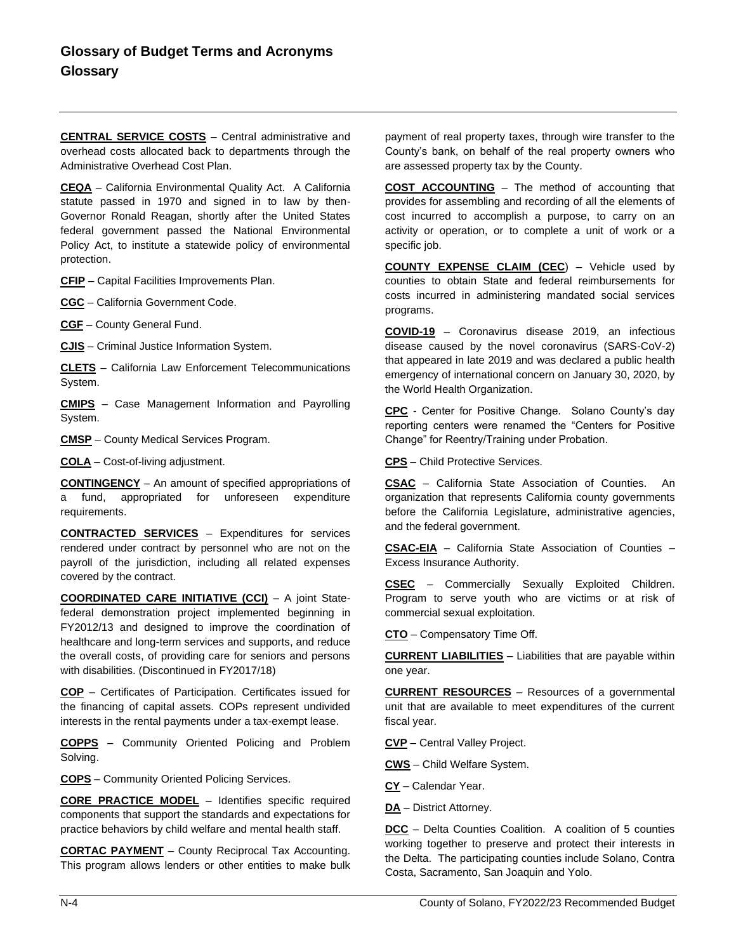**CENTRAL SERVICE COSTS** – Central administrative and overhead costs allocated back to departments through the Administrative Overhead Cost Plan.

**CEQA** – California Environmental Quality Act. A California statute passed in 1970 and signed in to law by then-Governor Ronald Reagan, shortly after the United States federal government passed the National Environmental Policy Act, to institute a statewide policy of environmental protection.

**CFIP** – Capital Facilities Improvements Plan.

**CGC** – California Government Code.

**CGF** – County General Fund.

**CJIS** – Criminal Justice Information System.

**CLETS** – California Law Enforcement Telecommunications System.

**CMIPS** – Case Management Information and Payrolling System.

**CMSP** – County Medical Services Program.

**COLA** – Cost-of-living adjustment.

**CONTINGENCY** – An amount of specified appropriations of a fund, appropriated for unforeseen expenditure requirements.

**CONTRACTED SERVICES** – Expenditures for services rendered under contract by personnel who are not on the payroll of the jurisdiction, including all related expenses covered by the contract.

**COORDINATED CARE INITIATIVE (CCI)** – A joint Statefederal demonstration project implemented beginning in FY2012/13 and designed to improve the coordination of healthcare and long-term services and supports, and reduce the overall costs, of providing care for seniors and persons with disabilities. (Discontinued in FY2017/18)

**COP** – Certificates of Participation. Certificates issued for the financing of capital assets. COPs represent undivided interests in the rental payments under a tax-exempt lease.

**COPPS** – Community Oriented Policing and Problem Solving.

**COPS** – Community Oriented Policing Services.

**CORE PRACTICE MODEL** – Identifies specific required components that support the standards and expectations for practice behaviors by child welfare and mental health staff.

**CORTAC PAYMENT** – County Reciprocal Tax Accounting. This program allows lenders or other entities to make bulk payment of real property taxes, through wire transfer to the County's bank, on behalf of the real property owners who are assessed property tax by the County.

**COST ACCOUNTING** – The method of accounting that provides for assembling and recording of all the elements of cost incurred to accomplish a purpose, to carry on an activity or operation, or to complete a unit of work or a specific job.

**COUNTY EXPENSE CLAIM (CEC**) – Vehicle used by counties to obtain State and federal reimbursements for costs incurred in administering mandated social services programs.

**COVID-19** – Coronavirus disease 2019, an infectious disease caused by the novel coronavirus (SARS-CoV-2) that appeared in late 2019 and was declared a public health emergency of international concern on January 30, 2020, by the World Health Organization.

**CPC** - Center for Positive Change. Solano County's day reporting centers were renamed the "Centers for Positive Change" for Reentry/Training under Probation.

**CPS** – Child Protective Services.

**CSAC** – California State Association of Counties. An organization that represents California county governments before the California Legislature, administrative agencies, and the federal government.

**CSAC-EIA** – California State Association of Counties – Excess Insurance Authority.

**CSEC** – Commercially Sexually Exploited Children. Program to serve youth who are victims or at risk of commercial sexual exploitation.

**CTO** – Compensatory Time Off.

**CURRENT LIABILITIES** – Liabilities that are payable within one year.

**CURRENT RESOURCES** – Resources of a governmental unit that are available to meet expenditures of the current fiscal year.

**CVP** – Central Valley Project.

**CWS** – Child Welfare System.

**CY** – Calendar Year.

**DA** – District Attorney.

**DCC** – Delta Counties Coalition. A coalition of 5 counties working together to preserve and protect their interests in the Delta. The participating counties include Solano, Contra Costa, Sacramento, San Joaquin and Yolo.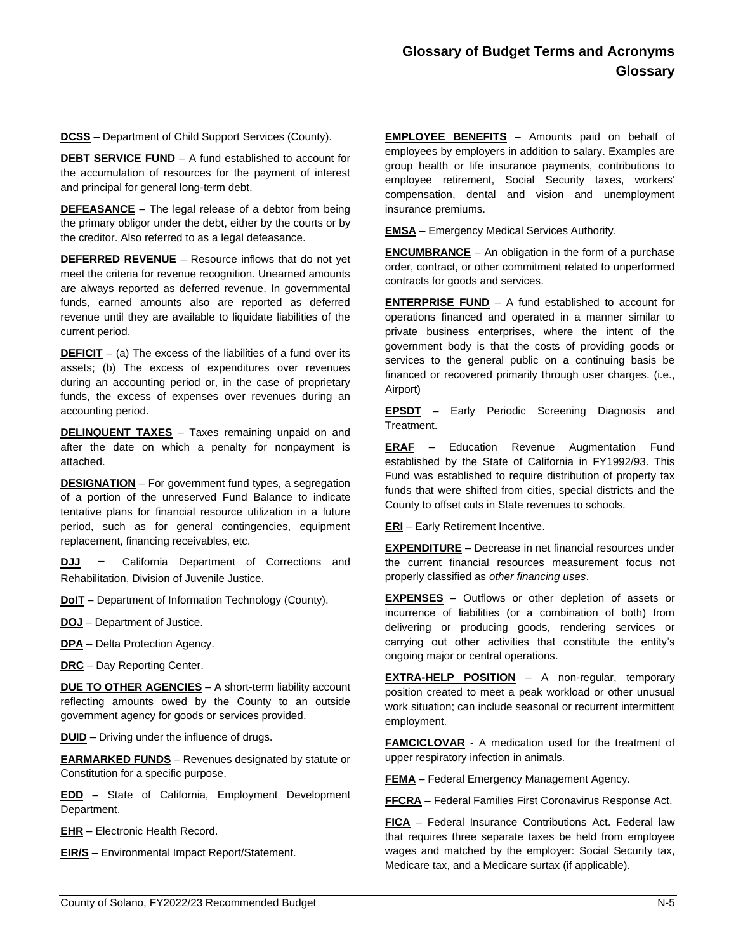**DCSS** – Department of Child Support Services (County).

**DEBT SERVICE FUND** – A fund established to account for the accumulation of resources for the payment of interest and principal for general long-term debt.

**DEFEASANCE** – The legal release of a debtor from being the primary obligor under the debt, either by the courts or by the creditor. Also referred to as a legal defeasance.

**DEFERRED REVENUE** – Resource inflows that do not yet meet the criteria for revenue recognition. Unearned amounts are always reported as deferred revenue. In governmental funds, earned amounts also are reported as deferred revenue until they are available to liquidate liabilities of the current period.

**DEFICIT** – (a) The excess of the liabilities of a fund over its assets; (b) The excess of expenditures over revenues during an accounting period or, in the case of proprietary funds, the excess of expenses over revenues during an accounting period.

**DELINQUENT TAXES** - Taxes remaining unpaid on and after the date on which a penalty for nonpayment is attached.

**DESIGNATION** – For government fund types, a segregation of a portion of the unreserved Fund Balance to indicate tentative plans for financial resource utilization in a future period, such as for general contingencies, equipment replacement, financing receivables, etc.

**DJJ** - California Department of Corrections and Rehabilitation, Division of Juvenile Justice.

**DoIT** – Department of Information Technology (County).

**DOJ** – Department of Justice.

**DPA** – Delta Protection Agency.

**DRC** – Day Reporting Center.

**DUE TO OTHER AGENCIES** - A short-term liability account reflecting amounts owed by the County to an outside government agency for goods or services provided.

**DUID** – Driving under the influence of drugs.

**EARMARKED FUNDS** – Revenues designated by statute or Constitution for a specific purpose.

**EDD** – State of California, Employment Development Department.

**EHR** – Electronic Health Record.

**EIR/S** – Environmental Impact Report/Statement.

**EMPLOYEE BENEFITS** – Amounts paid on behalf of employees by employers in addition to salary. Examples are group health or life insurance payments, contributions to employee retirement, Social Security taxes, workers' compensation, dental and vision and unemployment insurance premiums.

**EMSA** – Emergency Medical Services Authority.

**ENCUMBRANCE** – An obligation in the form of a purchase order, contract, or other commitment related to unperformed contracts for goods and services.

**ENTERPRISE FUND** – A fund established to account for operations financed and operated in a manner similar to private business enterprises, where the intent of the government body is that the costs of providing goods or services to the general public on a continuing basis be financed or recovered primarily through user charges. (i.e., Airport)

**EPSDT** – Early Periodic Screening Diagnosis and Treatment.

**ERAF** – Education Revenue Augmentation Fund established by the State of California in FY1992/93. This Fund was established to require distribution of property tax funds that were shifted from cities, special districts and the County to offset cuts in State revenues to schools.

**ERI** – Early Retirement Incentive.

**EXPENDITURE** – Decrease in net financial resources under the current financial resources measurement focus not properly classified as *other financing uses*.

**EXPENSES** – Outflows or other depletion of assets or incurrence of liabilities (or a combination of both) from delivering or producing goods, rendering services or carrying out other activities that constitute the entity's ongoing major or central operations.

**EXTRA-HELP POSITION** – A non-regular, temporary position created to meet a peak workload or other unusual work situation; can include seasonal or recurrent intermittent employment.

**FAMCICLOVAR** - A medication used for the treatment of upper respiratory infection in animals.

**FEMA** – Federal Emergency Management Agency.

**FFCRA** – Federal Families First Coronavirus Response Act.

**FICA** – Federal Insurance Contributions Act. Federal law that requires three separate taxes be held from employee wages and matched by the employer: Social Security tax, Medicare tax, and a Medicare surtax (if applicable).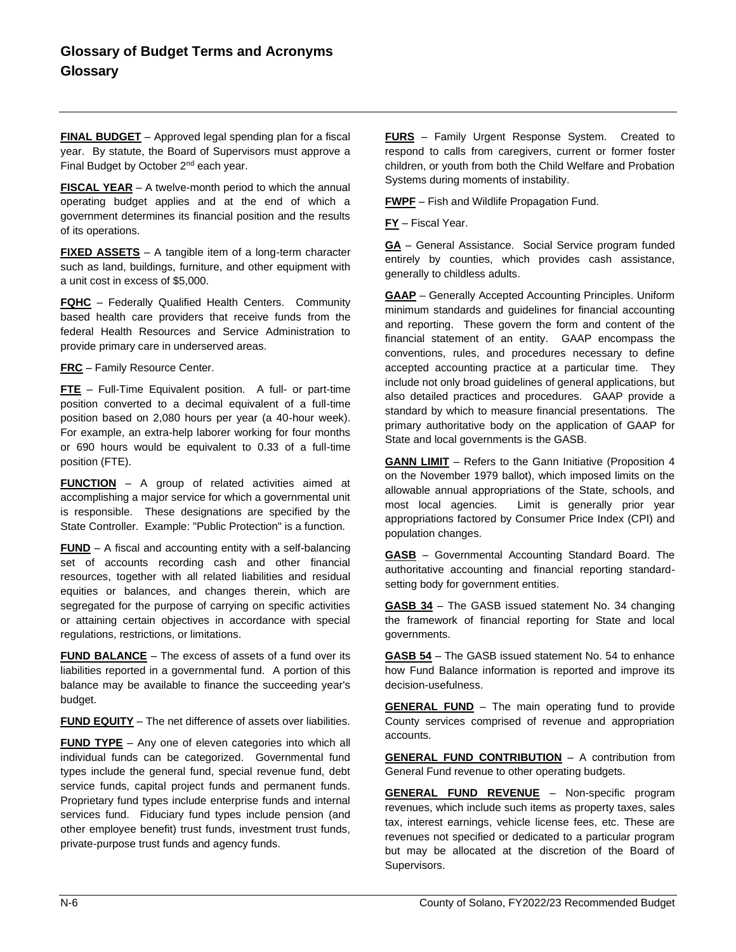**FINAL BUDGET** – Approved legal spending plan for a fiscal year. By statute, the Board of Supervisors must approve a Final Budget by October 2<sup>nd</sup> each year.

**FISCAL YEAR** – A twelve-month period to which the annual operating budget applies and at the end of which a government determines its financial position and the results of its operations.

**FIXED ASSETS** – A tangible item of a long-term character such as land, buildings, furniture, and other equipment with a unit cost in excess of \$5,000.

**FQHC** – Federally Qualified Health Centers. Community based health care providers that receive funds from the federal Health Resources and Service Administration to provide primary care in underserved areas.

**FRC** – Family Resource Center.

**FTE** – Full-Time Equivalent position. A full- or part-time position converted to a decimal equivalent of a full-time position based on 2,080 hours per year (a 40-hour week). For example, an extra-help laborer working for four months or 690 hours would be equivalent to 0.33 of a full-time position (FTE).

**FUNCTION** – A group of related activities aimed at accomplishing a major service for which a governmental unit is responsible. These designations are specified by the State Controller. Example: "Public Protection" is a function.

**FUND** – A fiscal and accounting entity with a self-balancing set of accounts recording cash and other financial resources, together with all related liabilities and residual equities or balances, and changes therein, which are segregated for the purpose of carrying on specific activities or attaining certain objectives in accordance with special regulations, restrictions, or limitations.

**FUND BALANCE** – The excess of assets of a fund over its liabilities reported in a governmental fund. A portion of this balance may be available to finance the succeeding year's budget.

**FUND EQUITY** – The net difference of assets over liabilities.

**FUND TYPE** – Any one of eleven categories into which all individual funds can be categorized. Governmental fund types include the general fund, special revenue fund, debt service funds, capital project funds and permanent funds. Proprietary fund types include enterprise funds and internal services fund. Fiduciary fund types include pension (and other employee benefit) trust funds, investment trust funds, private-purpose trust funds and agency funds.

**FURS** – Family Urgent Response System. Created to respond to calls from caregivers, current or former foster children, or youth from both the Child Welfare and Probation Systems during moments of instability.

**FWPF** – Fish and Wildlife Propagation Fund.

**FY** – Fiscal Year.

**GA** – General Assistance. Social Service program funded entirely by counties, which provides cash assistance, generally to childless adults.

**GAAP** – Generally Accepted Accounting Principles. Uniform minimum standards and guidelines for financial accounting and reporting. These govern the form and content of the financial statement of an entity. GAAP encompass the conventions, rules, and procedures necessary to define accepted accounting practice at a particular time. They include not only broad guidelines of general applications, but also detailed practices and procedures. GAAP provide a standard by which to measure financial presentations. The primary authoritative body on the application of GAAP for State and local governments is the GASB.

**GANN LIMIT** – Refers to the Gann Initiative (Proposition 4 on the November 1979 ballot), which imposed limits on the allowable annual appropriations of the State, schools, and most local agencies. Limit is generally prior year appropriations factored by Consumer Price Index (CPI) and population changes.

**GASB** – Governmental Accounting Standard Board. The authoritative accounting and financial reporting standardsetting body for government entities.

**GASB 34** – The GASB issued statement No. 34 changing the framework of financial reporting for State and local governments.

**GASB 54** – The GASB issued statement No. 54 to enhance how Fund Balance information is reported and improve its decision-usefulness.

**GENERAL FUND** – The main operating fund to provide County services comprised of revenue and appropriation accounts.

**GENERAL FUND CONTRIBUTION** – A contribution from General Fund revenue to other operating budgets.

**GENERAL FUND REVENUE** – Non-specific program revenues, which include such items as property taxes, sales tax, interest earnings, vehicle license fees, etc. These are revenues not specified or dedicated to a particular program but may be allocated at the discretion of the Board of Supervisors.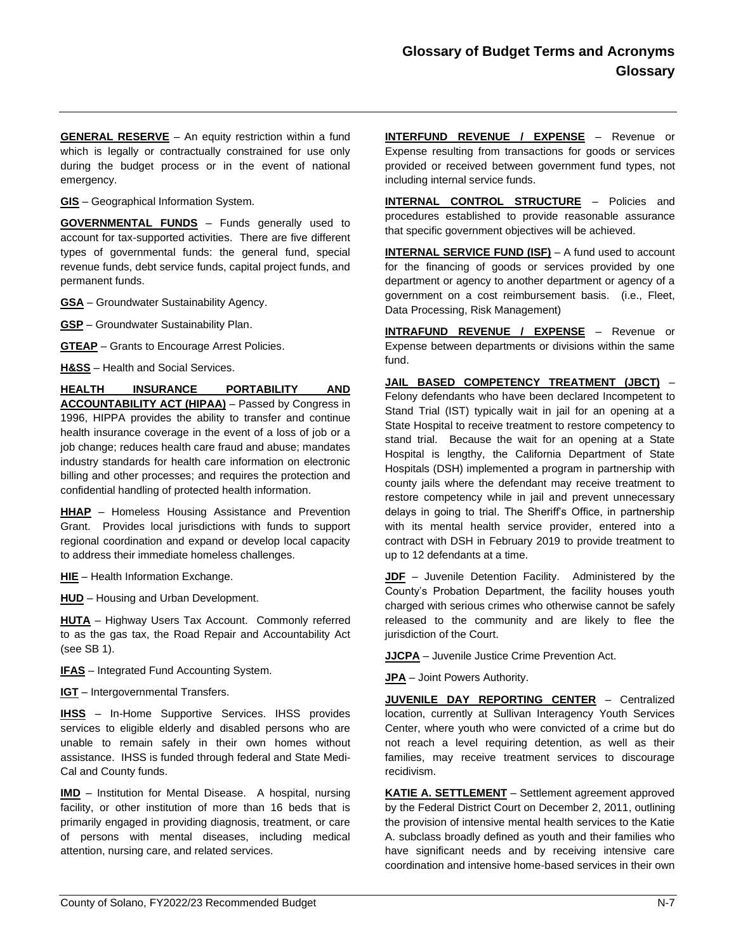**GENERAL RESERVE** – An equity restriction within a fund which is legally or contractually constrained for use only during the budget process or in the event of national emergency.

**GIS** – Geographical Information System.

**GOVERNMENTAL FUNDS** – Funds generally used to account for tax-supported activities. There are five different types of governmental funds: the general fund, special revenue funds, debt service funds, capital project funds, and permanent funds.

**GSA** – Groundwater Sustainability Agency.

**GSP** – Groundwater Sustainability Plan.

**GTEAP** – Grants to Encourage Arrest Policies.

**H&SS** – Health and Social Services.

**HEALTH INSURANCE PORTABILITY AND ACCOUNTABILITY ACT (HIPAA)** – Passed by Congress in 1996, HIPPA provides the ability to transfer and continue health insurance coverage in the event of a loss of job or a job change; reduces health care fraud and abuse; mandates industry standards for health care information on electronic billing and other processes; and requires the protection and confidential handling of protected health information.

**HHAP** – Homeless Housing Assistance and Prevention Grant. Provides local jurisdictions with funds to support regional coordination and expand or develop local capacity to address their immediate homeless challenges.

**HIE** – Health Information Exchange.

**HUD** – Housing and Urban Development.

**HUTA** – Highway Users Tax Account. Commonly referred to as the gas tax, the Road Repair and Accountability Act (see SB 1).

**IFAS** – Integrated Fund Accounting System.

**IGT** – Intergovernmental Transfers.

**IHSS** – In-Home Supportive Services. IHSS provides services to eligible elderly and disabled persons who are unable to remain safely in their own homes without assistance. IHSS is funded through federal and State Medi-Cal and County funds.

**IMD** – Institution for Mental Disease. A hospital, nursing facility, or other institution of more than 16 beds that is primarily engaged in providing diagnosis, treatment, or care of persons with mental diseases, including medical attention, nursing care, and related services.

**INTERFUND REVENUE / EXPENSE** – Revenue or Expense resulting from transactions for goods or services provided or received between government fund types, not including internal service funds.

**INTERNAL CONTROL STRUCTURE** – Policies and procedures established to provide reasonable assurance that specific government objectives will be achieved.

**INTERNAL SERVICE FUND (ISF)** – A fund used to account for the financing of goods or services provided by one department or agency to another department or agency of a government on a cost reimbursement basis. (i.e., Fleet, Data Processing, Risk Management)

**INTRAFUND REVENUE / EXPENSE** – Revenue or Expense between departments or divisions within the same fund.

**JAIL BASED COMPETENCY TREATMENT (JBCT)** – Felony defendants who have been declared Incompetent to Stand Trial (IST) typically wait in jail for an opening at a State Hospital to receive treatment to restore competency to stand trial. Because the wait for an opening at a State Hospital is lengthy, the California Department of State Hospitals (DSH) implemented a program in partnership with county jails where the defendant may receive treatment to restore competency while in jail and prevent unnecessary delays in going to trial. The Sheriff's Office, in partnership with its mental health service provider, entered into a contract with DSH in February 2019 to provide treatment to up to 12 defendants at a time.

**JDF** – Juvenile Detention Facility. Administered by the County's Probation Department, the facility houses youth charged with serious crimes who otherwise cannot be safely released to the community and are likely to flee the jurisdiction of the Court.

**JJCPA** – Juvenile Justice Crime Prevention Act.

**JPA** – Joint Powers Authority.

**JUVENILE DAY REPORTING CENTER** – Centralized location, currently at Sullivan Interagency Youth Services Center, where youth who were convicted of a crime but do not reach a level requiring detention, as well as their families, may receive treatment services to discourage recidivism.

**KATIE A. SETTLEMENT** – Settlement agreement approved by the Federal District Court on December 2, 2011, outlining the provision of intensive mental health services to the Katie A. subclass broadly defined as youth and their families who have significant needs and by receiving intensive care coordination and intensive home-based services in their own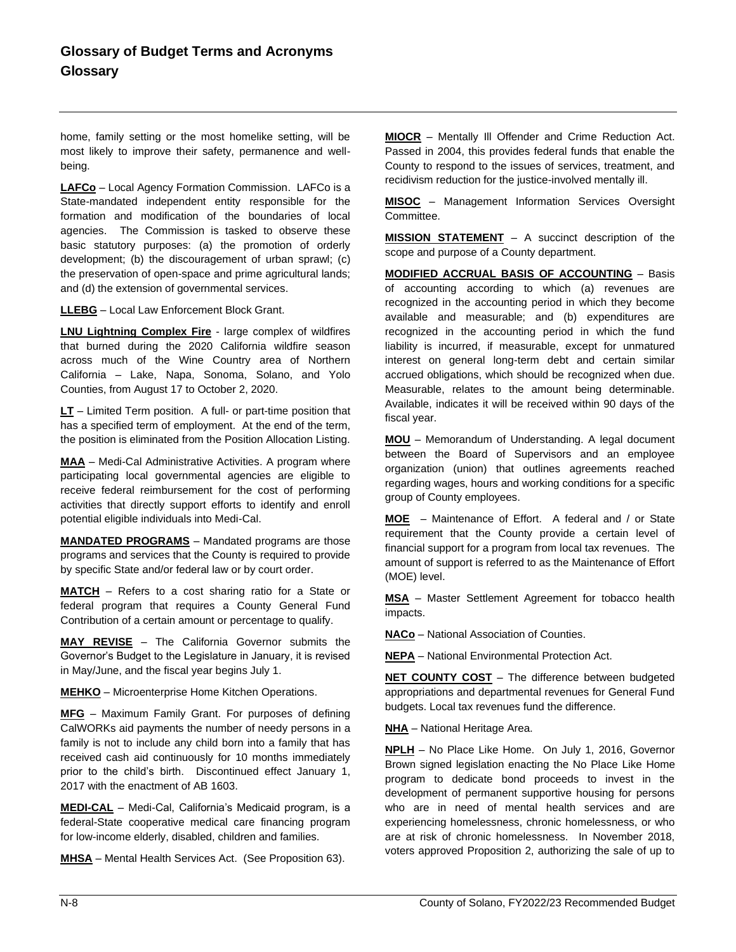home, family setting or the most homelike setting, will be most likely to improve their safety, permanence and wellbeing.

**LAFCo** – Local Agency Formation Commission. LAFCo is a State-mandated independent entity responsible for the formation and modification of the boundaries of local agencies. The Commission is tasked to observe these basic statutory purposes: (a) the promotion of orderly development; (b) the discouragement of urban sprawl; (c) the preservation of open-space and prime agricultural lands; and (d) the extension of governmental services.

**LLEBG** – Local Law Enforcement Block Grant.

**LNU Lightning Complex Fire** - large complex of wildfires that burned during the 2020 California wildfire season across much of the Wine Country area of Northern California – Lake, Napa, Sonoma, Solano, and Yolo Counties, from August 17 to October 2, 2020.

**LT** – Limited Term position. A full- or part-time position that has a specified term of employment. At the end of the term, the position is eliminated from the Position Allocation Listing.

**MAA** – Medi-Cal Administrative Activities. A program where participating local governmental agencies are eligible to receive federal reimbursement for the cost of performing activities that directly support efforts to identify and enroll potential eligible individuals into Medi-Cal.

**MANDATED PROGRAMS** – Mandated programs are those programs and services that the County is required to provide by specific State and/or federal law or by court order.

**MATCH** – Refers to a cost sharing ratio for a State or federal program that requires a County General Fund Contribution of a certain amount or percentage to qualify.

**MAY REVISE** – The California Governor submits the Governor's Budget to the Legislature in January, it is revised in May/June, and the fiscal year begins July 1.

**MEHKO** – Microenterprise Home Kitchen Operations.

**MFG** – Maximum Family Grant. For purposes of defining CalWORKs aid payments the number of needy persons in a family is not to include any child born into a family that has received cash aid continuously for 10 months immediately prior to the child's birth. Discontinued effect January 1, 2017 with the enactment of AB 1603.

**MEDI-CAL** – Medi-Cal, California's Medicaid program, is a federal-State cooperative medical care financing program for low-income elderly, disabled, children and families.

**MHSA** – Mental Health Services Act. (See Proposition 63).

**MIOCR** – Mentally Ill Offender and Crime Reduction Act. Passed in 2004, this provides federal funds that enable the County to respond to the issues of services, treatment, and recidivism reduction for the justice-involved mentally ill.

**MISOC** – Management Information Services Oversight Committee.

**MISSION STATEMENT** – A succinct description of the scope and purpose of a County department.

**MODIFIED ACCRUAL BASIS OF ACCOUNTING** – Basis of accounting according to which (a) revenues are recognized in the accounting period in which they become available and measurable; and (b) expenditures are recognized in the accounting period in which the fund liability is incurred, if measurable, except for unmatured interest on general long-term debt and certain similar accrued obligations, which should be recognized when due. Measurable, relates to the amount being determinable. Available, indicates it will be received within 90 days of the fiscal year.

**MOU** – Memorandum of Understanding. A legal document between the Board of Supervisors and an employee organization (union) that outlines agreements reached regarding wages, hours and working conditions for a specific group of County employees.

**MOE** – Maintenance of Effort. A federal and / or State requirement that the County provide a certain level of financial support for a program from local tax revenues. The amount of support is referred to as the Maintenance of Effort (MOE) level.

**MSA** – Master Settlement Agreement for tobacco health impacts.

**NACo** – National Association of Counties.

**NEPA** – National Environmental Protection Act.

**NET COUNTY COST** – The difference between budgeted appropriations and departmental revenues for General Fund budgets. Local tax revenues fund the difference.

**NHA** – National Heritage Area.

**NPLH** – No Place Like Home. On July 1, 2016, Governor Brown signed legislation enacting the No Place Like Home program to dedicate bond proceeds to invest in the development of permanent supportive housing for persons who are in need of mental health services and are experiencing homelessness, chronic homelessness, or who are at risk of chronic homelessness. In November 2018, voters approved Proposition 2, authorizing the sale of up to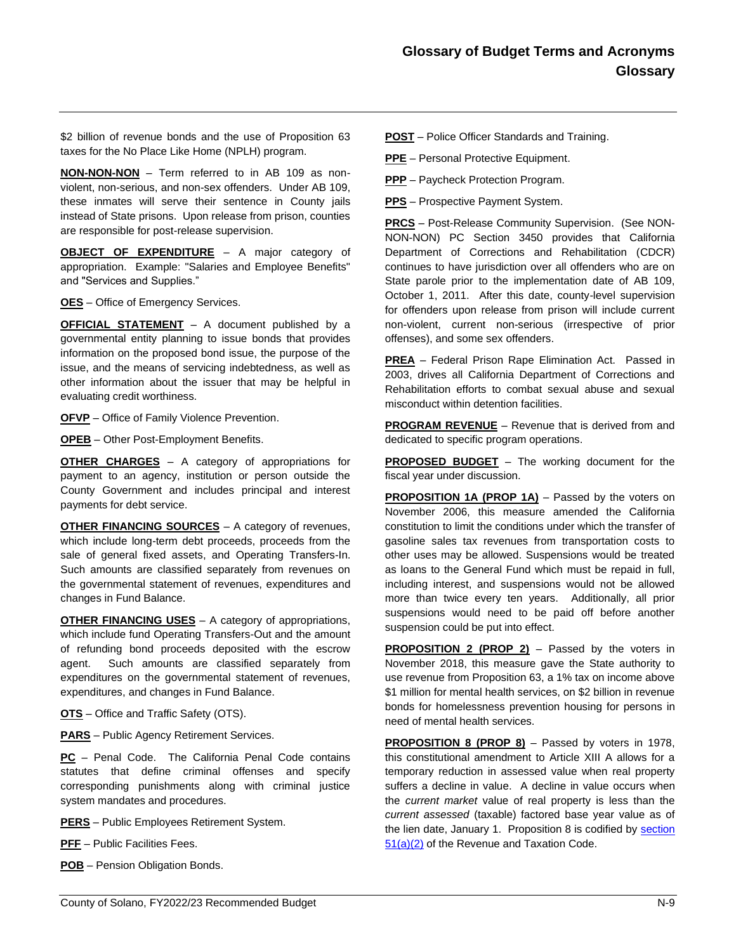\$2 billion of revenue bonds and the use of Proposition 63 taxes for the No Place Like Home (NPLH) program.

**NON-NON-NON** – Term referred to in AB 109 as nonviolent, non-serious, and non-sex offenders. Under AB 109, these inmates will serve their sentence in County jails instead of State prisons. Upon release from prison, counties are responsible for post-release supervision.

**OBJECT OF EXPENDITURE** – A major category of appropriation. Example: "Salaries and Employee Benefits" and "Services and Supplies."

**OES** – Office of Emergency Services.

**OFFICIAL STATEMENT** – A document published by a governmental entity planning to issue bonds that provides information on the proposed bond issue, the purpose of the issue, and the means of servicing indebtedness, as well as other information about the issuer that may be helpful in evaluating credit worthiness.

**OFVP** – Office of Family Violence Prevention.

**OPEB** – Other Post-Employment Benefits.

**OTHER CHARGES** – A category of appropriations for payment to an agency, institution or person outside the County Government and includes principal and interest payments for debt service.

**OTHER FINANCING SOURCES** – A category of revenues, which include long-term debt proceeds, proceeds from the sale of general fixed assets, and Operating Transfers-In. Such amounts are classified separately from revenues on the governmental statement of revenues, expenditures and changes in Fund Balance.

**OTHER FINANCING USES** – A category of appropriations, which include fund Operating Transfers-Out and the amount of refunding bond proceeds deposited with the escrow agent. Such amounts are classified separately from expenditures on the governmental statement of revenues, expenditures, and changes in Fund Balance.

**OTS** – Office and Traffic Safety (OTS).

**PARS** – Public Agency Retirement Services.

**PC** – Penal Code. The California Penal Code contains statutes that define criminal offenses and specify corresponding punishments along with criminal justice system mandates and procedures.

**PERS** – Public Employees Retirement System.

**PFF** – Public Facilities Fees.

**POB** – Pension Obligation Bonds.

**POST** – Police Officer Standards and Training.

**PPE** – Personal Protective Equipment.

**PPP** – Paycheck Protection Program.

**PPS** – Prospective Payment System.

**PRCS** – Post-Release Community Supervision. (See NON-NON-NON) PC Section 3450 provides that California Department of Corrections and Rehabilitation (CDCR) continues to have jurisdiction over all offenders who are on State parole prior to the implementation date of AB 109, October 1, 2011. After this date, county-level supervision for offenders upon release from prison will include current non-violent, current non-serious (irrespective of prior offenses), and some sex offenders.

**PREA** – Federal Prison Rape Elimination Act. Passed in 2003, drives all California Department of Corrections and Rehabilitation efforts to combat sexual abuse and sexual misconduct within detention facilities.

**PROGRAM REVENUE** – Revenue that is derived from and dedicated to specific program operations.

**PROPOSED BUDGET** – The working document for the fiscal year under discussion.

**PROPOSITION 1A (PROP 1A)** – Passed by the voters on November 2006, this measure amended the California constitution to limit the conditions under which the transfer of gasoline sales tax revenues from transportation costs to other uses may be allowed. Suspensions would be treated as loans to the General Fund which must be repaid in full, including interest, and suspensions would not be allowed more than twice every ten years. Additionally, all prior suspensions would need to be paid off before another suspension could be put into effect.

**PROPOSITION 2 (PROP 2)** – Passed by the voters in November 2018, this measure gave the State authority to use revenue from Proposition 63, a 1% tax on income above \$1 million for mental health services, on \$2 billion in revenue bonds for homelessness prevention housing for persons in need of mental health services.

**PROPOSITION 8 (PROP 8)** – Passed by voters in 1978, this constitutional amendment to Article XIII A allows for a temporary reduction in assessed value when real property suffers a decline in value. A decline in value occurs when the *current market* value of real property is less than the *current assessed* (taxable) factored base year value as of the lien date, January 1. Proposition 8 is codified by [section](http://www.leginfo.ca.gov/cgi-bin/calawquery?codesection=rtc&codebody=&hits=20)  [51\(a\)\(2\)](http://www.leginfo.ca.gov/cgi-bin/calawquery?codesection=rtc&codebody=&hits=20) of the Revenue and Taxation Code.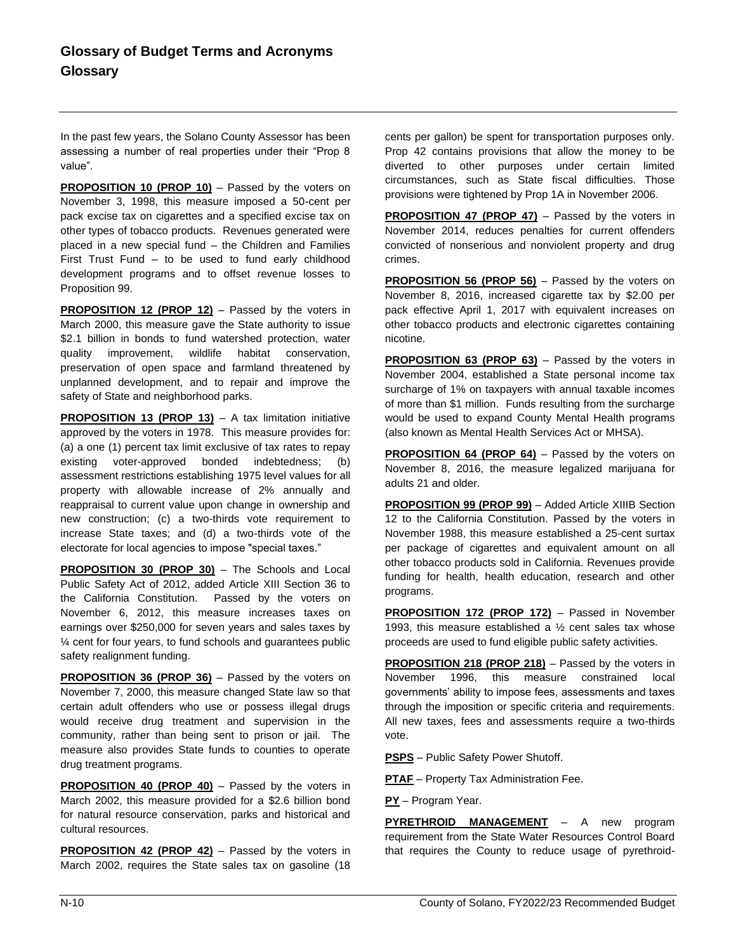In the past few years, the Solano County Assessor has been assessing a number of real properties under their "Prop 8 value".

**PROPOSITION 10 (PROP 10)** – Passed by the voters on November 3, 1998, this measure imposed a 50-cent per pack excise tax on cigarettes and a specified excise tax on other types of tobacco products. Revenues generated were placed in a new special fund – the Children and Families First Trust Fund – to be used to fund early childhood development programs and to offset revenue losses to Proposition 99.

**PROPOSITION 12 (PROP 12)** – Passed by the voters in March 2000, this measure gave the State authority to issue \$2.1 billion in bonds to fund watershed protection, water quality improvement, wildlife habitat conservation, preservation of open space and farmland threatened by unplanned development, and to repair and improve the safety of State and neighborhood parks.

**PROPOSITION 13 (PROP 13)** – A tax limitation initiative approved by the voters in 1978. This measure provides for: (a) a one (1) percent tax limit exclusive of tax rates to repay existing voter-approved bonded indebtedness; (b) assessment restrictions establishing 1975 level values for all property with allowable increase of 2% annually and reappraisal to current value upon change in ownership and new construction; (c) a two-thirds vote requirement to increase State taxes; and (d) a two-thirds vote of the electorate for local agencies to impose "special taxes."

**PROPOSITION 30 (PROP 30)** – The Schools and Local Public Safety Act of 2012, added Article XIII Section 36 to the California Constitution. Passed by the voters on November 6, 2012, this measure increases taxes on earnings over \$250,000 for seven years and sales taxes by ¼ cent for four years, to fund schools and guarantees public safety realignment funding.

**PROPOSITION 36 (PROP 36)** – Passed by the voters on November 7, 2000, this measure changed State law so that certain adult offenders who use or possess illegal drugs would receive drug treatment and supervision in the community, rather than being sent to prison or jail. The measure also provides State funds to counties to operate drug treatment programs.

**PROPOSITION 40 (PROP 40)** – Passed by the voters in March 2002, this measure provided for a \$2.6 billion bond for natural resource conservation, parks and historical and cultural resources.

**PROPOSITION 42 (PROP 42)** – Passed by the voters in March 2002, requires the State sales tax on gasoline (18 cents per gallon) be spent for transportation purposes only. Prop 42 contains provisions that allow the money to be diverted to other purposes under certain limited circumstances, such as State fiscal difficulties. Those provisions were tightened by Prop 1A in November 2006.

**PROPOSITION 47 (PROP 47)** – Passed by the voters in November 2014, reduces penalties for current offenders convicted of nonserious and nonviolent property and drug crimes.

**PROPOSITION 56 (PROP 56)** – Passed by the voters on November 8, 2016, increased cigarette tax by \$2.00 per pack effective April 1, 2017 with equivalent increases on other tobacco products and electronic cigarettes containing nicotine.

**PROPOSITION 63 (PROP 63)** – Passed by the voters in November 2004, established a State personal income tax surcharge of 1% on taxpayers with annual taxable incomes of more than \$1 million. Funds resulting from the surcharge would be used to expand County Mental Health programs (also known as Mental Health Services Act or MHSA).

**PROPOSITION 64 (PROP 64)** – Passed by the voters on November 8, 2016, the measure legalized marijuana for adults 21 and older.

**PROPOSITION 99 (PROP 99)** – Added Article XIIIB Section 12 to the California Constitution. Passed by the voters in November 1988, this measure established a 25-cent surtax per package of cigarettes and equivalent amount on all other tobacco products sold in California. Revenues provide funding for health, health education, research and other programs.

**PROPOSITION 172 (PROP 172)** – Passed in November 1993, this measure established a ½ cent sales tax whose proceeds are used to fund eligible public safety activities.

**PROPOSITION 218 (PROP 218)** – Passed by the voters in November 1996, this measure constrained local governments' ability to impose fees, assessments and taxes through the imposition or specific criteria and requirements. All new taxes, fees and assessments require a two-thirds vote.

**PSPS** – Public Safety Power Shutoff.

**PTAF** – Property Tax Administration Fee.

**PY** – Program Year.

**PYRETHROID MANAGEMENT** – A new program requirement from the State Water Resources Control Board that requires the County to reduce usage of pyrethroid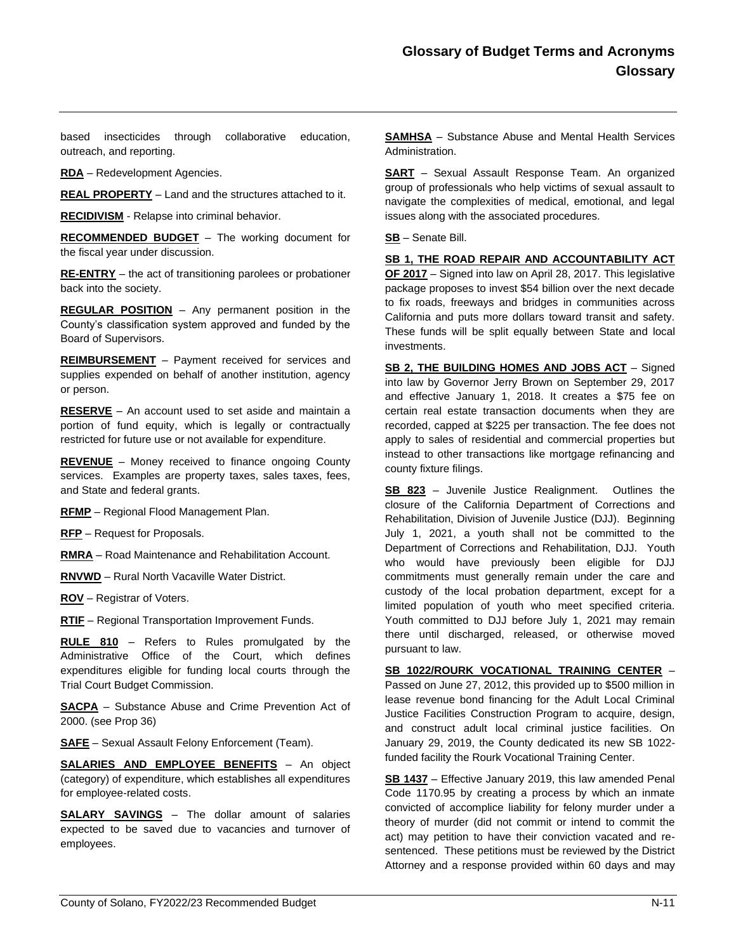based insecticides through collaborative education, outreach, and reporting.

**RDA** – Redevelopment Agencies.

**REAL PROPERTY** – Land and the structures attached to it.

**RECIDIVISM** - Relapse into criminal behavior.

**RECOMMENDED BUDGET** – The working document for the fiscal year under discussion.

**RE-ENTRY** – the act of transitioning parolees or probationer back into the society.

**REGULAR POSITION** – Any permanent position in the County's classification system approved and funded by the Board of Supervisors.

**REIMBURSEMENT** – Payment received for services and supplies expended on behalf of another institution, agency or person.

**RESERVE** – An account used to set aside and maintain a portion of fund equity, which is legally or contractually restricted for future use or not available for expenditure.

**REVENUE** – Money received to finance ongoing County services. Examples are property taxes, sales taxes, fees, and State and federal grants.

**RFMP** – Regional Flood Management Plan.

**RFP** – Request for Proposals.

**RMRA** – Road Maintenance and Rehabilitation Account.

**RNVWD** – Rural North Vacaville Water District.

**ROV** – Registrar of Voters.

**RTIF** – Regional Transportation Improvement Funds.

**RULE 810** – Refers to Rules promulgated by the Administrative Office of the Court, which defines expenditures eligible for funding local courts through the Trial Court Budget Commission.

**SACPA** – Substance Abuse and Crime Prevention Act of 2000. (see Prop 36)

**SAFE** – Sexual Assault Felony Enforcement (Team).

**SALARIES AND EMPLOYEE BENEFITS** – An object (category) of expenditure, which establishes all expenditures for employee-related costs.

**SALARY SAVINGS** – The dollar amount of salaries expected to be saved due to vacancies and turnover of employees.

**SAMHSA** – Substance Abuse and Mental Health Services Administration.

**SART** – Sexual Assault Response Team. An organized group of professionals who help victims of sexual assault to navigate the complexities of medical, emotional, and legal issues along with the associated procedures.

**SB** – Senate Bill.

**SB 1, THE ROAD REPAIR AND ACCOUNTABILITY ACT OF 2017** – Signed into law on April 28, 2017. This legislative package proposes to invest \$54 billion over the next decade to fix roads, freeways and bridges in communities across California and puts more dollars toward transit and safety. These funds will be split equally between State and local investments.

**SB 2, THE BUILDING HOMES AND JOBS ACT** – Signed into law by Governor Jerry Brown on September 29, 2017 and effective January 1, 2018. It creates a \$75 fee on certain real estate transaction documents when they are recorded, capped at \$225 per transaction. The fee does not apply to sales of residential and commercial properties but instead to other transactions like mortgage refinancing and county fixture filings.

**SB 823** – Juvenile Justice Realignment. Outlines the closure of the California Department of Corrections and Rehabilitation, Division of Juvenile Justice (DJJ). Beginning July 1, 2021, a youth shall not be committed to the Department of Corrections and Rehabilitation, DJJ. Youth who would have previously been eligible for DJJ commitments must generally remain under the care and custody of the local probation department, except for a limited population of youth who meet specified criteria. Youth committed to DJJ before July 1, 2021 may remain there until discharged, released, or otherwise moved pursuant to law.

**SB 1022/ROURK VOCATIONAL TRAINING CENTER** – Passed on June 27, 2012, this provided up to \$500 million in lease revenue bond financing for the Adult Local Criminal Justice Facilities Construction Program to acquire, design, and construct adult local criminal justice facilities. On January 29, 2019, the County dedicated its new SB 1022 funded facility the Rourk Vocational Training Center.

**SB 1437** – Effective January 2019, this law amended Penal Code 1170.95 by creating a process by which an inmate convicted of accomplice liability for felony murder under a theory of murder (did not commit or intend to commit the act) may petition to have their conviction vacated and resentenced. These petitions must be reviewed by the District Attorney and a response provided within 60 days and may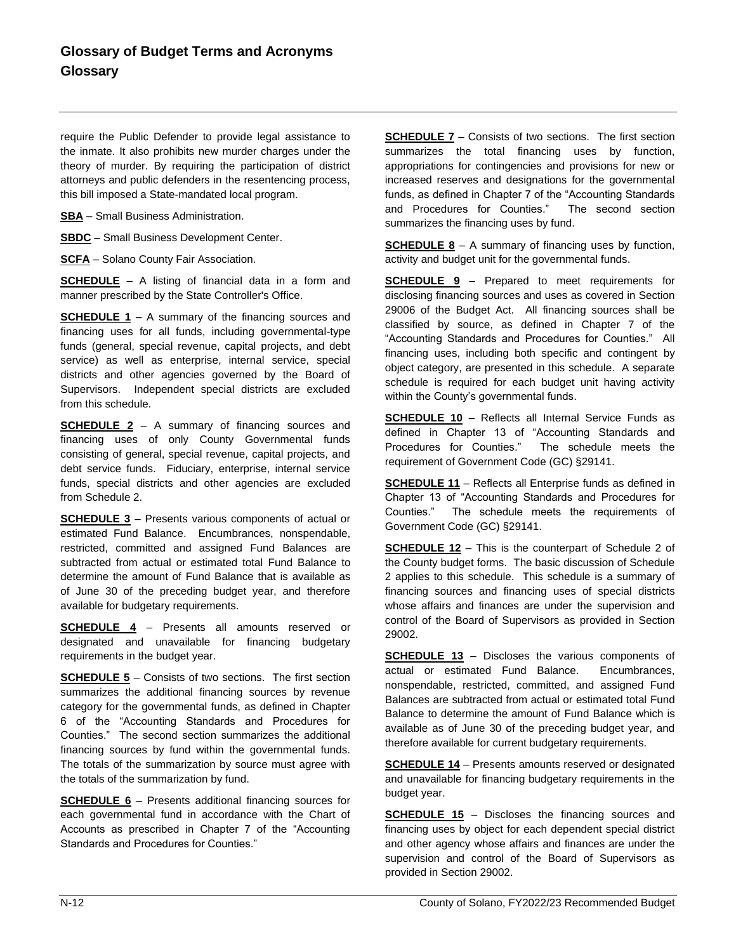require the Public Defender to provide legal assistance to the inmate. It also prohibits new murder charges under the theory of murder. By requiring the participation of district attorneys and public defenders in the resentencing process, this bill imposed a State-mandated local program.

**SBA** – Small Business Administration.

**SBDC** – Small Business Development Center.

**SCFA** – Solano County Fair Association.

**SCHEDULE** – A listing of financial data in a form and manner prescribed by the State Controller's Office.

**SCHEDULE 1** – A summary of the financing sources and financing uses for all funds, including governmental-type funds (general, special revenue, capital projects, and debt service) as well as enterprise, internal service, special districts and other agencies governed by the Board of Supervisors. Independent special districts are excluded from this schedule.

**SCHEDULE 2** – A summary of financing sources and financing uses of only County Governmental funds consisting of general, special revenue, capital projects, and debt service funds. Fiduciary, enterprise, internal service funds, special districts and other agencies are excluded from Schedule 2.

**SCHEDULE 3** – Presents various components of actual or estimated Fund Balance. Encumbrances, nonspendable, restricted, committed and assigned Fund Balances are subtracted from actual or estimated total Fund Balance to determine the amount of Fund Balance that is available as of June 30 of the preceding budget year, and therefore available for budgetary requirements.

**SCHEDULE 4** – Presents all amounts reserved or designated and unavailable for financing budgetary requirements in the budget year.

**SCHEDULE 5** – Consists of two sections. The first section summarizes the additional financing sources by revenue category for the governmental funds, as defined in Chapter 6 of the "Accounting Standards and Procedures for Counties." The second section summarizes the additional financing sources by fund within the governmental funds. The totals of the summarization by source must agree with the totals of the summarization by fund.

**SCHEDULE 6** – Presents additional financing sources for each governmental fund in accordance with the Chart of Accounts as prescribed in Chapter 7 of the "Accounting Standards and Procedures for Counties."

**SCHEDULE 7** – Consists of two sections. The first section summarizes the total financing uses by function, appropriations for contingencies and provisions for new or increased reserves and designations for the governmental funds, as defined in Chapter 7 of the "Accounting Standards and Procedures for Counties." The second section summarizes the financing uses by fund.

**SCHEDULE 8** – A summary of financing uses by function, activity and budget unit for the governmental funds.

**SCHEDULE 9** – Prepared to meet requirements for disclosing financing sources and uses as covered in Section 29006 of the Budget Act. All financing sources shall be classified by source, as defined in Chapter 7 of the "Accounting Standards and Procedures for Counties." All financing uses, including both specific and contingent by object category, are presented in this schedule. A separate schedule is required for each budget unit having activity within the County's governmental funds.

**SCHEDULE 10** – Reflects all Internal Service Funds as defined in Chapter 13 of "Accounting Standards and Procedures for Counties." The schedule meets the requirement of Government Code (GC) §29141.

**SCHEDULE 11** – Reflects all Enterprise funds as defined in Chapter 13 of "Accounting Standards and Procedures for Counties." The schedule meets the requirements of Government Code (GC) §29141.

**SCHEDULE 12** – This is the counterpart of Schedule 2 of the County budget forms. The basic discussion of Schedule 2 applies to this schedule. This schedule is a summary of financing sources and financing uses of special districts whose affairs and finances are under the supervision and control of the Board of Supervisors as provided in Section 29002.

**SCHEDULE 13** – Discloses the various components of actual or estimated Fund Balance. Encumbrances, nonspendable, restricted, committed, and assigned Fund Balances are subtracted from actual or estimated total Fund Balance to determine the amount of Fund Balance which is available as of June 30 of the preceding budget year, and therefore available for current budgetary requirements.

**SCHEDULE 14** – Presents amounts reserved or designated and unavailable for financing budgetary requirements in the budget year.

**SCHEDULE 15** – Discloses the financing sources and financing uses by object for each dependent special district and other agency whose affairs and finances are under the supervision and control of the Board of Supervisors as provided in Section 29002.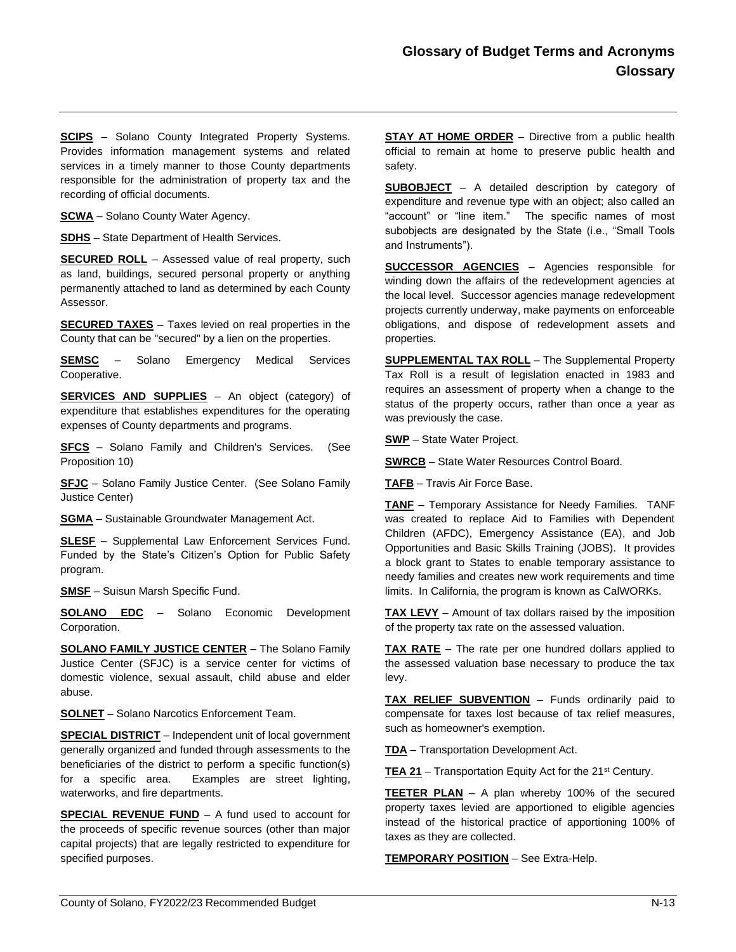**SCIPS** – Solano County Integrated Property Systems. Provides information management systems and related services in a timely manner to those County departments responsible for the administration of property tax and the recording of official documents.

**SCWA** – Solano County Water Agency.

**SDHS** – State Department of Health Services.

**SECURED ROLL** – Assessed value of real property, such as land, buildings, secured personal property or anything permanently attached to land as determined by each County Assessor.

**SECURED TAXES** – Taxes levied on real properties in the County that can be "secured" by a lien on the properties.

**SEMSC** – Solano Emergency Medical Services Cooperative.

**SERVICES AND SUPPLIES** – An object (category) of expenditure that establishes expenditures for the operating expenses of County departments and programs.

**SFCS** – Solano Family and Children's Services. (See Proposition 10)

**SFJC** – Solano Family Justice Center. (See Solano Family Justice Center)

**SGMA** – Sustainable Groundwater Management Act.

**SLESF** – Supplemental Law Enforcement Services Fund. Funded by the State's Citizen's Option for Public Safety program.

**SMSF** – Suisun Marsh Specific Fund.

**SOLANO EDC** – Solano Economic Development Corporation.

**SOLANO FAMILY JUSTICE CENTER** – The Solano Family Justice Center (SFJC) is a service center for victims of domestic violence, sexual assault, child abuse and elder abuse.

**SOLNET** – Solano Narcotics Enforcement Team.

**SPECIAL DISTRICT** – Independent unit of local government generally organized and funded through assessments to the beneficiaries of the district to perform a specific function(s) for a specific area. Examples are street lighting, waterworks, and fire departments.

**SPECIAL REVENUE FUND** – A fund used to account for the proceeds of specific revenue sources (other than major capital projects) that are legally restricted to expenditure for specified purposes.

**STAY AT HOME ORDER** – Directive from a public health official to remain at home to preserve public health and safety.

**SUBOBJECT** – A detailed description by category of expenditure and revenue type with an object; also called an "account" or "line item." The specific names of most subobjects are designated by the State (i.e., "Small Tools and Instruments").

**SUCCESSOR AGENCIES** – Agencies responsible for winding down the affairs of the redevelopment agencies at the local level. Successor agencies manage redevelopment projects currently underway, make payments on enforceable obligations, and dispose of redevelopment assets and properties.

**SUPPLEMENTAL TAX ROLL** – The Supplemental Property Tax Roll is a result of legislation enacted in 1983 and requires an assessment of property when a change to the status of the property occurs, rather than once a year as was previously the case.

**SWP** – State Water Project.

**SWRCB** – State Water Resources Control Board.

**TAFB** – Travis Air Force Base.

**TANF** – Temporary Assistance for Needy Families. TANF was created to replace Aid to Families with Dependent Children (AFDC), Emergency Assistance (EA), and Job Opportunities and Basic Skills Training (JOBS). It provides a block grant to States to enable temporary assistance to needy families and creates new work requirements and time limits. In California, the program is known as CalWORKs.

**TAX LEVY** – Amount of tax dollars raised by the imposition of the property tax rate on the assessed valuation.

**TAX RATE** – The rate per one hundred dollars applied to the assessed valuation base necessary to produce the tax levy.

**TAX RELIEF SUBVENTION** – Funds ordinarily paid to compensate for taxes lost because of tax relief measures, such as homeowner's exemption.

**TDA** – Transportation Development Act.

**TEA 21** – Transportation Equity Act for the 21<sup>st</sup> Century.

**TEETER PLAN** – A plan whereby 100% of the secured property taxes levied are apportioned to eligible agencies instead of the historical practice of apportioning 100% of taxes as they are collected.

**TEMPORARY POSITION** – See Extra-Help.